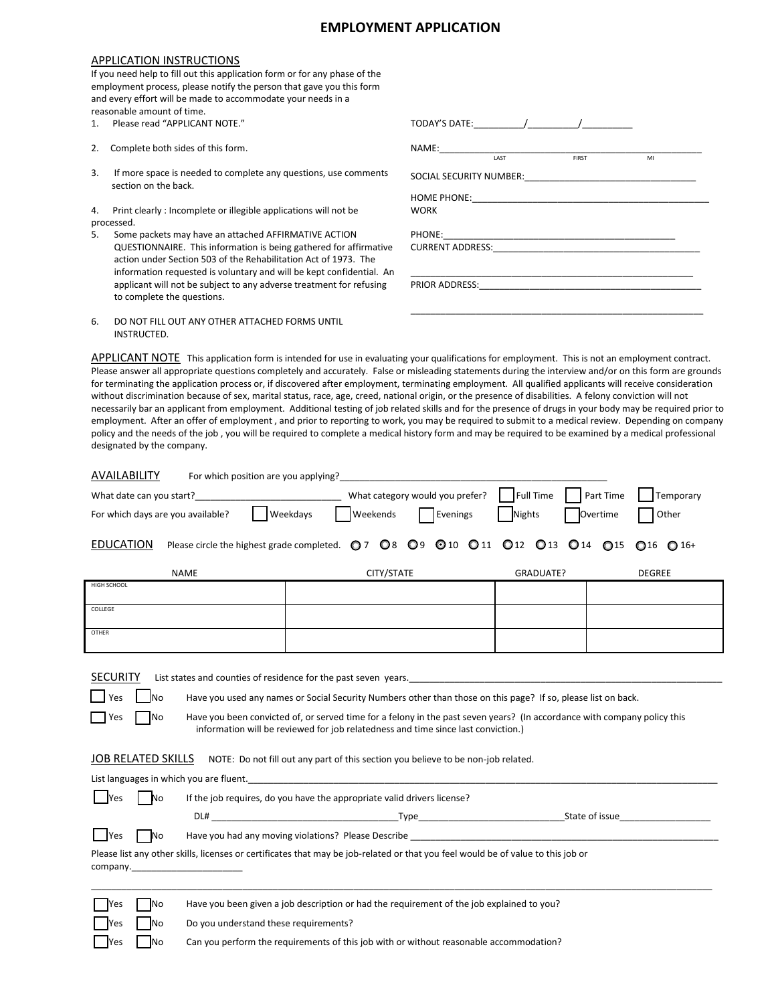## **EMPLOYMENT APPLICATION**

## APPLICATION INSTRUCTIONS

|             | If you need help to fill out this application form or for any phase of the<br>employment process, please notify the person that gave you this form<br>and every effort will be made to accommodate your needs in a<br>reasonable amount of time. |                                                                                                                                                                                                                                                                    |
|-------------|--------------------------------------------------------------------------------------------------------------------------------------------------------------------------------------------------------------------------------------------------|--------------------------------------------------------------------------------------------------------------------------------------------------------------------------------------------------------------------------------------------------------------------|
| $1_{\cdot}$ | Please read "APPLICANT NOTE."                                                                                                                                                                                                                    | TODAY'S DATE: TODAY'S DATE:                                                                                                                                                                                                                                        |
| 2.          | Complete both sides of this form.                                                                                                                                                                                                                | NAME: We have a series of the series of the series of the series of the series of the series of the series of the series of the series of the series of the series of the series of the series of the series of the series of<br><b>FIRST</b><br><b>LAST</b><br>MI |
| 3.          | If more space is needed to complete any questions, use comments<br>section on the back.                                                                                                                                                          | SOCIAL SECURITY NUMBER:                                                                                                                                                                                                                                            |
|             |                                                                                                                                                                                                                                                  | HOME PHONE: NAME AND THE RESERVE AND THE RESERVE AND THE RESERVE AND THE RESERVE AND THE RESERVE AND THE RESERVE AND THE RESERVE AND THE RESERVE AND THE RESERVE AND THE RESERVE AND THE RESERVE AND THE RESERVE AND THE RESER                                     |
| 4.          | Print clearly: Incomplete or illegible applications will not be                                                                                                                                                                                  | <b>WORK</b>                                                                                                                                                                                                                                                        |
|             | processed.                                                                                                                                                                                                                                       |                                                                                                                                                                                                                                                                    |
| 5.          | Some packets may have an attached AFFIRMATIVE ACTION<br>QUESTIONNAIRE. This information is being gathered for affirmative                                                                                                                        | CURRENT ADDRESS: North and the contract of the contract of the contract of the contract of the contract of the contract of the contract of the contract of the contract of the contract of the contract of the contract of the                                     |
|             | action under Section 503 of the Rehabilitation Act of 1973. The<br>information requested is voluntary and will be kept confidential. An                                                                                                          |                                                                                                                                                                                                                                                                    |
|             | applicant will not be subject to any adverse treatment for refusing<br>to complete the questions.                                                                                                                                                |                                                                                                                                                                                                                                                                    |
| 6.          | DO NOT FILL OUT ANY OTHER ATTACHED FORMS UNTIL<br>INSTRUCTED.                                                                                                                                                                                    |                                                                                                                                                                                                                                                                    |

APPLICANT NOTE This application form is intended for use in evaluating your qualifications for employment. This is not an employment contract. Please answer all appropriate questions completely and accurately. False or misleading statements during the interview and/or on this form are grounds for terminating the application process or, if discovered after employment, terminating employment. All qualified applicants will receive consideration without discrimination because of sex, marital status, race, age, creed, national origin, or the presence of disabilities. A felony conviction will not necessarily bar an applicant from employment. Additional testing of job related skills and for the presence of drugs in your body may be required prior to employment. After an offer of employment , and prior to reporting to work, you may be required to submit to a medical review. Depending on company policy and the needs of the job , you will be required to complete a medical history form and may be required to be examined by a medical professional designated by the company.

| AVAILABILITY<br>For which position are you applying?                                                                                                                                                                                                                                                                                                                                                                                                                                                                                                                                                                                                                                                           |                                                                                           |                                                                     |                 |                                                  |  |  |  |
|----------------------------------------------------------------------------------------------------------------------------------------------------------------------------------------------------------------------------------------------------------------------------------------------------------------------------------------------------------------------------------------------------------------------------------------------------------------------------------------------------------------------------------------------------------------------------------------------------------------------------------------------------------------------------------------------------------------|-------------------------------------------------------------------------------------------|---------------------------------------------------------------------|-----------------|--------------------------------------------------|--|--|--|
|                                                                                                                                                                                                                                                                                                                                                                                                                                                                                                                                                                                                                                                                                                                | Full Time<br>What category would you prefer?<br>Part Time<br>Temporary                    |                                                                     |                 |                                                  |  |  |  |
| For which days are you available?                                                                                                                                                                                                                                                                                                                                                                                                                                                                                                                                                                                                                                                                              | Weekdays                                                                                  | <b>Weekends</b><br>$\Box$ Evenings                                  | <b>Nights</b>   | Overtime<br>Other                                |  |  |  |
| <b>EDUCATION</b>                                                                                                                                                                                                                                                                                                                                                                                                                                                                                                                                                                                                                                                                                               |                                                                                           | Please circle the highest grade completed. 07 08 09 010 011 012 013 | $\mathbf{O}$ 14 | $\bigcirc$ 15<br>$\bigcirc$ 16<br>$\bigcirc$ 16+ |  |  |  |
|                                                                                                                                                                                                                                                                                                                                                                                                                                                                                                                                                                                                                                                                                                                | <b>NAME</b>                                                                               | CITY/STATE                                                          | GRADUATE?       | <b>DEGREE</b>                                    |  |  |  |
| HIGH SCHOOL                                                                                                                                                                                                                                                                                                                                                                                                                                                                                                                                                                                                                                                                                                    |                                                                                           |                                                                     |                 |                                                  |  |  |  |
| COLLEGE                                                                                                                                                                                                                                                                                                                                                                                                                                                                                                                                                                                                                                                                                                        |                                                                                           |                                                                     |                 |                                                  |  |  |  |
|                                                                                                                                                                                                                                                                                                                                                                                                                                                                                                                                                                                                                                                                                                                |                                                                                           |                                                                     |                 |                                                  |  |  |  |
| <b>OTHER</b>                                                                                                                                                                                                                                                                                                                                                                                                                                                                                                                                                                                                                                                                                                   |                                                                                           |                                                                     |                 |                                                  |  |  |  |
| <b>SECURITY</b><br>List states and counties of residence for the past seven years. The manufacturer of the control of the past seven we<br><b>INO</b><br>Have you used any names or Social Security Numbers other than those on this page? If so, please list on back.<br>Yes<br>Have you been convicted of, or served time for a felony in the past seven years? (In accordance with company policy this<br>No<br>Yes<br>information will be reviewed for job relatedness and time since last conviction.)<br>JOB RELATED SKILLS<br>NOTE: Do not fill out any part of this section you believe to be non-job related.<br>If the job requires, do you have the appropriate valid drivers license?<br>No<br>Yes |                                                                                           |                                                                     |                 |                                                  |  |  |  |
|                                                                                                                                                                                                                                                                                                                                                                                                                                                                                                                                                                                                                                                                                                                |                                                                                           |                                                                     |                 |                                                  |  |  |  |
| No<br>Yes                                                                                                                                                                                                                                                                                                                                                                                                                                                                                                                                                                                                                                                                                                      | Have you had any moving violations? Please Describe                                       |                                                                     |                 |                                                  |  |  |  |
| Please list any other skills, licenses or certificates that may be job-related or that you feel would be of value to this job or                                                                                                                                                                                                                                                                                                                                                                                                                                                                                                                                                                               |                                                                                           |                                                                     |                 |                                                  |  |  |  |
| company.                                                                                                                                                                                                                                                                                                                                                                                                                                                                                                                                                                                                                                                                                                       |                                                                                           |                                                                     |                 |                                                  |  |  |  |
|                                                                                                                                                                                                                                                                                                                                                                                                                                                                                                                                                                                                                                                                                                                |                                                                                           |                                                                     |                 |                                                  |  |  |  |
| <b>No</b><br>'es                                                                                                                                                                                                                                                                                                                                                                                                                                                                                                                                                                                                                                                                                               | Have you been given a job description or had the requirement of the job explained to you? |                                                                     |                 |                                                  |  |  |  |
| <b>No</b><br>'es                                                                                                                                                                                                                                                                                                                                                                                                                                                                                                                                                                                                                                                                                               | Do you understand these requirements?                                                     |                                                                     |                 |                                                  |  |  |  |
| lNo<br>Yes                                                                                                                                                                                                                                                                                                                                                                                                                                                                                                                                                                                                                                                                                                     | Can you perform the requirements of this job with or without reasonable accommodation?    |                                                                     |                 |                                                  |  |  |  |